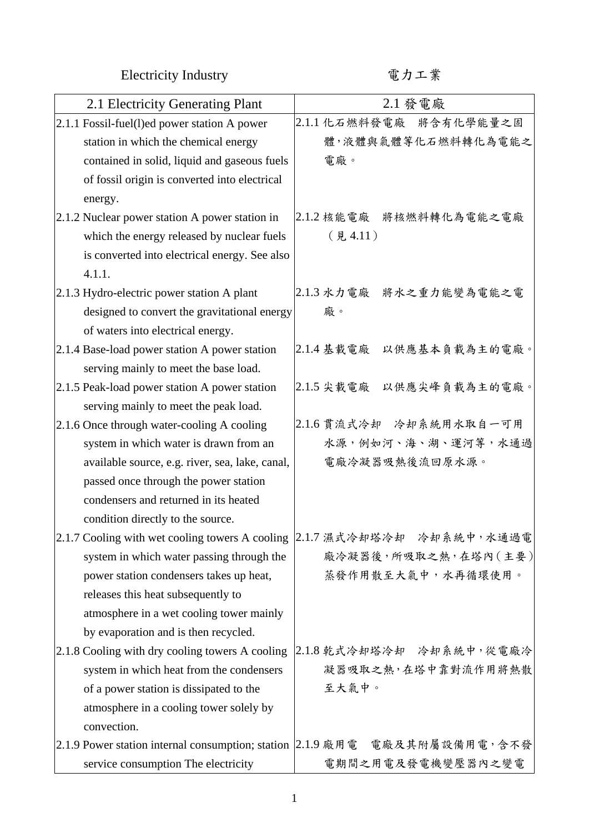Electricity Industry カエ業

| 2.1 Electricity Generating Plant                | 2.1 發電廠                                                                     |
|-------------------------------------------------|-----------------------------------------------------------------------------|
| 2.1.1 Fossil-fuel(l)ed power station A power    | 2.1.1 化石燃料發電廠 将含有化學能量之固                                                     |
| station in which the chemical energy            | 體,液體與氣體等化石燃料轉化為電能之                                                          |
| contained in solid, liquid and gaseous fuels    | 電廠。                                                                         |
| of fossil origin is converted into electrical   |                                                                             |
| energy.                                         |                                                                             |
| 2.1.2 Nuclear power station A power station in  | 2.1.2 核能電廠 将核燃料轉化為電能之電廠                                                     |
| which the energy released by nuclear fuels      | $($ 見 4.11)                                                                 |
| is converted into electrical energy. See also   |                                                                             |
| 4.1.1.                                          |                                                                             |
| 2.1.3 Hydro-electric power station A plant      | 2.1.3 水力電廠 將水之重力能變為電能之電                                                     |
| designed to convert the gravitational energy    | 廠。                                                                          |
| of waters into electrical energy.               |                                                                             |
| 2.1.4 Base-load power station A power station   | 2.1.4 基載電廠 以供應基本負載為主的電廠。                                                    |
| serving mainly to meet the base load.           |                                                                             |
| 2.1.5 Peak-load power station A power station   | 2.1.5 尖載電廠 以供應尖峰負載為主的電廠。                                                    |
| serving mainly to meet the peak load.           |                                                                             |
| 2.1.6 Once through water-cooling A cooling      | 2.1.6 貫流式冷却 冷却系統用水取自一可用                                                     |
| system in which water is drawn from an          | 水源,例如河、海、湖、運河等,水通過                                                          |
| available source, e.g. river, sea, lake, canal, | 電廠冷凝器吸熱後流回原水源。                                                              |
| passed once through the power station           |                                                                             |
| condensers and returned in its heated           |                                                                             |
| condition directly to the source.               |                                                                             |
| 2.1.7 Cooling with wet cooling towers A cooling | 2.1.7 濕式冷却塔冷却 冷却系統中,水通過電                                                    |
| system in which water passing through the       | 廠冷凝器後,所吸取之熱,在塔內(主要)                                                         |
| power station condensers takes up heat,         | 蒸發作用散至大氣中,水再循環使用。                                                           |
| releases this heat subsequently to              |                                                                             |
| atmosphere in a wet cooling tower mainly        |                                                                             |
| by evaporation and is then recycled.            |                                                                             |
| 2.1.8 Cooling with dry cooling towers A cooling | 2.1.8 乾式冷却塔冷却 冷却系統中,從電廠冷                                                    |
| system in which heat from the condensers        | 凝器吸取之熱,在塔中靠對流作用將熱散                                                          |
| of a power station is dissipated to the         | 至大氣中。                                                                       |
| atmosphere in a cooling tower solely by         |                                                                             |
| convection.                                     |                                                                             |
|                                                 | 2.1.9 Power station internal consumption; station 2.1.9 廠用電 電廠及其附屬設備用電, 含不發 |
| service consumption The electricity             | 电期间之用电及发电機变压器内之变电                                                           |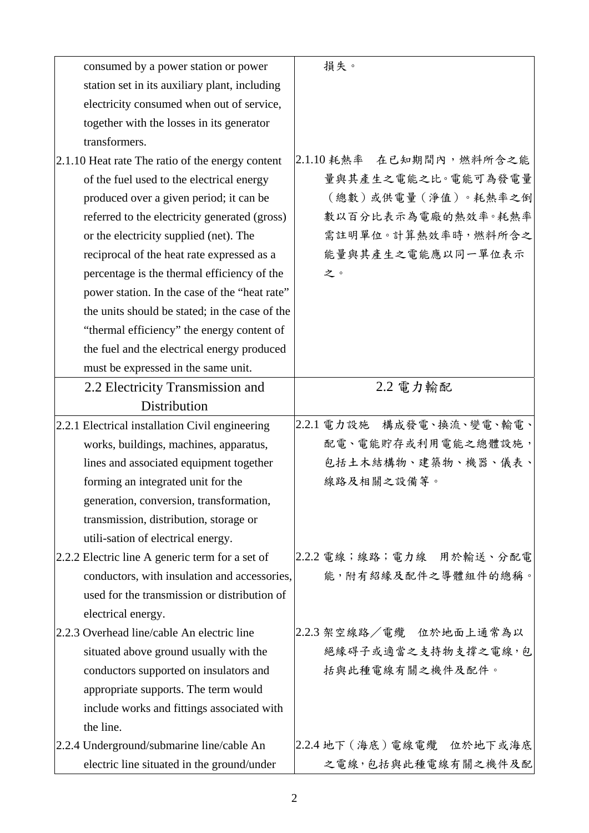| consumed by a power station or power             | 損失。                          |
|--------------------------------------------------|------------------------------|
| station set in its auxiliary plant, including    |                              |
| electricity consumed when out of service,        |                              |
| together with the losses in its generator        |                              |
| transformers.                                    |                              |
| 2.1.10 Heat rate The ratio of the energy content | 2.1.10耗熱率 在已知期間內,燃料所含之能      |
| of the fuel used to the electrical energy        | 量與其產生之電能之比。電能可為發電量           |
| produced over a given period; it can be          | (總數)或供電量 (淨值)。耗熱率之倒          |
| referred to the electricity generated (gross)    | 數以百分比表示為電廠的熱效率。耗熱率           |
| or the electricity supplied (net). The           | 需註明單位。計算熱效率時,燃料所含之           |
| reciprocal of the heat rate expressed as a       | 能量與其產生之電能應以同一單位表示            |
| percentage is the thermal efficiency of the      | 之。                           |
| power station. In the case of the "heat rate"    |                              |
| the units should be stated; in the case of the   |                              |
| "thermal efficiency" the energy content of       |                              |
| the fuel and the electrical energy produced      |                              |
| must be expressed in the same unit.              |                              |
| 2.2 Electricity Transmission and                 | 2.2 電力輸配                     |
| Distribution                                     |                              |
| 2.2.1 Electrical installation Civil engineering  | 構成發電、換流、變電、輸電、<br>2.2.1 電力設施 |
| works, buildings, machines, apparatus,           | 配電、電能貯存或利用電能之總體設施,           |
| lines and associated equipment together          | 包括土木結構物、建築物、機器、儀表、           |
| forming an integrated unit for the               | 線路及相關之設備等。                   |
| generation, conversion, transformation,          |                              |
| transmission, distribution, storage or           |                              |
| utili-sation of electrical energy.               |                              |
| 2.2.2 Electric line A generic term for a set of  | 2.2.2 電線;線路;電力線 用於輸送、分配電     |
| conductors, with insulation and accessories,     | 能,附有紹緣及配件之導體組件的總稱。           |
| used for the transmission or distribution of     |                              |
| electrical energy.                               |                              |
| 2.2.3 Overhead line/cable An electric line       | 2.2.3 架空線路/電纜 位於地面上通常為以      |
| situated above ground usually with the           | 絕緣碍子或適當之支持物支撐之電線,包           |
| conductors supported on insulators and           | 括與此種電線有關之機件及配件。              |
| appropriate supports. The term would             |                              |
| include works and fittings associated with       |                              |
| the line.                                        |                              |
| 2.2.4 Underground/submarine line/cable An        | 2.2.4 地下 (海底)電線電纜 位於地下或海底    |
| electric line situated in the ground/under       | 之電線,包括與此種電線有關之機件及配           |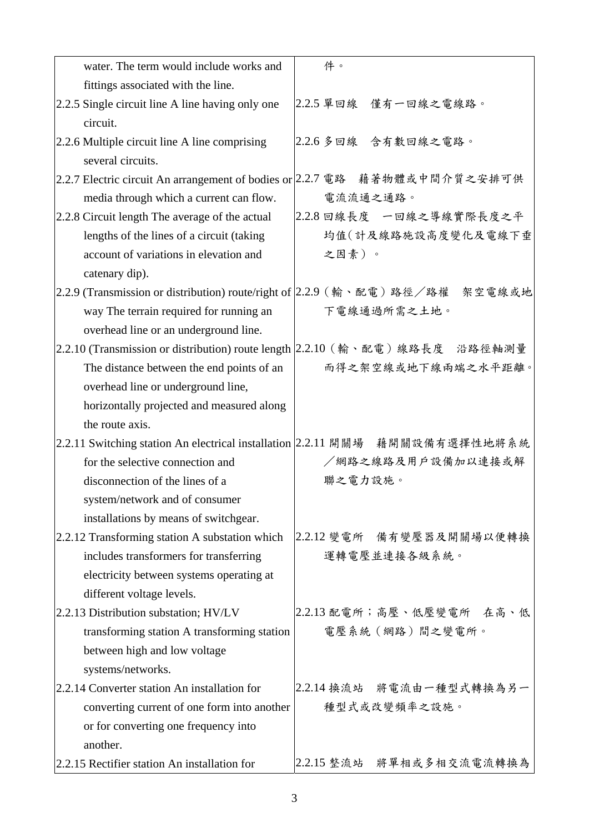| water. The term would include works and                                     | 件。                                                                           |
|-----------------------------------------------------------------------------|------------------------------------------------------------------------------|
| fittings associated with the line.                                          |                                                                              |
| 2.2.5 Single circuit line A line having only one                            | 2.2.5 單回線 僅有一回線之電線路。                                                         |
| circuit.                                                                    |                                                                              |
| 2.2.6 Multiple circuit line A line comprising                               | 2.2.6 多回線 含有數回線之電路。                                                          |
| several circuits.                                                           |                                                                              |
| 2.2.7 Electric circuit An arrangement of bodies or 2.2.7 電路 藉著物體或中間介質之安排可供  |                                                                              |
| media through which a current can flow.                                     | 電流流通之通路。                                                                     |
| 2.2.8 Circuit length The average of the actual                              | 2.2.8 回線長度 一回線之導線實際長度之平                                                      |
| lengths of the lines of a circuit (taking                                   | 均值(計及線路施設高度變化及電線下垂                                                           |
| account of variations in elevation and                                      | 之因素)。                                                                        |
| catenary dip).                                                              |                                                                              |
|                                                                             | 2.2.9 (Transmission or distribution) route/right of 2.2.9 (輸、配電)路經/路權 架空電線或地 |
| way The terrain required for running an                                     | 下電線通過所需之土地。                                                                  |
| overhead line or an underground line.                                       |                                                                              |
| 2.2.10 (Transmission or distribution) route length 2.2.10 (輸、配電)線路長度 沿路徑軸測量 |                                                                              |
| The distance between the end points of an                                   | 而得之架空線或地下線兩端之水平距離。                                                           |
| overhead line or underground line,                                          |                                                                              |
| horizontally projected and measured along                                   |                                                                              |
| the route axis.                                                             |                                                                              |
|                                                                             | 2.2.11 Switching station An electrical installation 2.2.11 開關場 藉開關設備有選擇性地將系統 |
| for the selective connection and                                            | /網路之線路及用戶設備加以連接或解                                                            |
| disconnection of the lines of a                                             | 聯之電力設施。                                                                      |
| system/network and of consumer                                              |                                                                              |
| installations by means of switchgear.                                       |                                                                              |
| 2.2.12 Transforming station A substation which                              | 2.2.12 變電所 備有變壓器及開關場以便轉換                                                     |
| includes transformers for transferring                                      | 運轉電壓並連接各級系統。                                                                 |
| electricity between systems operating at                                    |                                                                              |
| different voltage levels.                                                   |                                                                              |
| 2.2.13 Distribution substation; HV/LV                                       | 2.2.13 配電所;高壓、低壓變電所 在高、低                                                     |
| transforming station A transforming station                                 | 電壓系統(網路)間之變電所。                                                               |
| between high and low voltage                                                |                                                                              |
| systems/networks.                                                           |                                                                              |
| 2.2.14 Converter station An installation for                                | 2.2.14 换流站 將電流由一種型式轉換為另一                                                     |
| converting current of one form into another                                 | 種型式或改變頻率之設施。                                                                 |
| or for converting one frequency into                                        |                                                                              |
| another.                                                                    |                                                                              |
| 2.2.15 Rectifier station An installation for                                | 2.2.15 整流站 將單相或多相交流電流轉換為                                                     |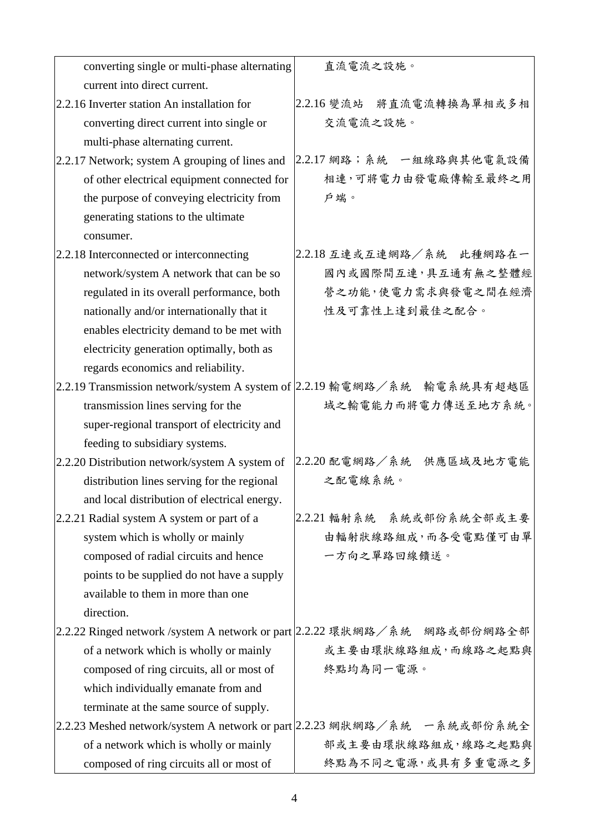| converting single or multi-phase alternating                             | 直流電流之設施。                                                                 |
|--------------------------------------------------------------------------|--------------------------------------------------------------------------|
| current into direct current.                                             |                                                                          |
| 2.2.16 Inverter station An installation for                              | 2.2.16 變流站 將直流電流轉換為單相或多相                                                 |
| converting direct current into single or                                 | 交流電流之設施。                                                                 |
| multi-phase alternating current.                                         |                                                                          |
| 2.2.17 Network; system A grouping of lines and                           | 2.2.17 網路; 系統 一組線路與其他電氣設備                                                |
| of other electrical equipment connected for                              | 相連,可將電力由發電廠傳輸至最終之用                                                       |
| the purpose of conveying electricity from                                | 戶端。                                                                      |
| generating stations to the ultimate                                      |                                                                          |
| consumer.                                                                |                                                                          |
| 2.2.18 Interconnected or interconnecting                                 | 2.2.18 互連或互連網路/系統 此種網路在一                                                 |
| network/system A network that can be so                                  | 國內或國際間互連,具互通有無之整體經                                                       |
| regulated in its overall performance, both                               | 營之功能,使電力需求與發電之間在經濟                                                       |
| nationally and/or internationally that it                                | 性及可靠性上達到最佳之配合。                                                           |
| enables electricity demand to be met with                                |                                                                          |
| electricity generation optimally, both as                                |                                                                          |
| regards economics and reliability.                                       |                                                                          |
| 2.2.19 Transmission network/system A system of 2.2.19 輸電網路/系統 輸電系統具有超越區  |                                                                          |
| transmission lines serving for the                                       | 域之輸電能力而將電力傳送至地方系統。                                                       |
| super-regional transport of electricity and                              |                                                                          |
| feeding to subsidiary systems.                                           |                                                                          |
| 2.2.20 Distribution network/system A system of                           | 2.2.20 配電網路/系統 供應區域及地方電能                                                 |
| distribution lines serving for the regional                              | 之配電線系統。                                                                  |
| and local distribution of electrical energy.                             |                                                                          |
| 2.2.21 Radial system A system or part of a                               | 2.2.21 輻射系統 系統或部份系統全部或主要                                                 |
| system which is wholly or mainly                                         | 由輻射狀線路組成,而各受電點僅可由單                                                       |
| composed of radial circuits and hence                                    | 一方向之單路回線饋送。                                                              |
| points to be supplied do not have a supply                               |                                                                          |
| available to them in more than one                                       |                                                                          |
| direction.                                                               |                                                                          |
|                                                                          | 2.2.22 Ringed network /system A network or part 2.2.22 環狀網路/系統 網路或部份網路全部 |
| of a network which is wholly or mainly                                   | 或主要由環狀線路組成,而線路之起點與                                                       |
| composed of ring circuits, all or most of                                | 終點均為同一電源。                                                                |
| which individually emanate from and                                      |                                                                          |
| terminate at the same source of supply.                                  |                                                                          |
| 2.2.23 Meshed network/system A network or part 2.2.23 網狀網路/系統 ––系統或部份系統全 |                                                                          |
| of a network which is wholly or mainly                                   | 部或主要由環狀線路組成,線路之起點與                                                       |
| composed of ring circuits all or most of                                 | 終點為不同之電源,或具有多重電源之多                                                       |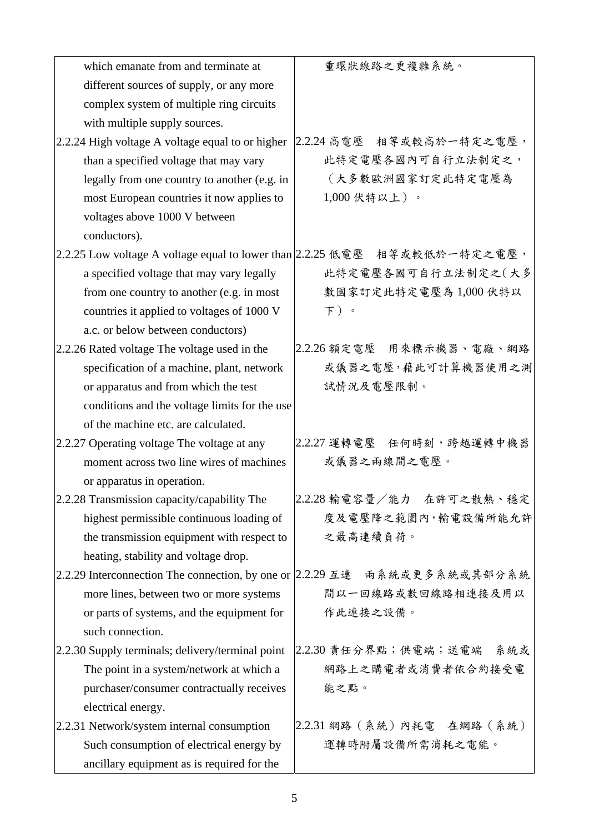| which emanate from and terminate at                                       | 重環狀線路之更複雜系統。                |
|---------------------------------------------------------------------------|-----------------------------|
| different sources of supply, or any more                                  |                             |
| complex system of multiple ring circuits                                  |                             |
| with multiple supply sources.                                             |                             |
| 2.2.24 High voltage A voltage equal to or higher                          | 2.2.24 高電壓 相等或較高於一特定之電壓,    |
| than a specified voltage that may vary                                    | 此特定電壓各國內可自行立法制定之,           |
| legally from one country to another (e.g. in                              | (大多數歐洲國家訂定此特定電壓為            |
| most European countries it now applies to                                 | 1,000伏特以上)。                 |
| voltages above 1000 V between                                             |                             |
| conductors).                                                              |                             |
| 2.2.25 Low voltage A voltage equal to lower than 2.2.25 低電壓 相等或較低於一特定之電壓, |                             |
| a specified voltage that may vary legally                                 | 此特定電壓各國可自行立法制定之(大多          |
| from one country to another (e.g. in most                                 | 數國家訂定此特定電壓為1,000伏特以         |
| countries it applied to voltages of 1000 V                                | 下)。                         |
| a.c. or below between conductors)                                         |                             |
| 2.2.26 Rated voltage The voltage used in the                              | 2.2.26 額定電壓 用來標示機器、電廠、網路    |
| specification of a machine, plant, network                                | 或儀器之電壓,藉此可計算機器使用之測          |
| or apparatus and from which the test                                      | 試情況及電壓限制。                   |
| conditions and the voltage limits for the use                             |                             |
| of the machine etc. are calculated.                                       |                             |
| 2.2.27 Operating voltage The voltage at any                               | 2.2.27 運轉電壓 任何時刻,跨越運轉中機器    |
| moment across two line wires of machines                                  | 或儀器之兩線間之電壓。                 |
| or apparatus in operation.                                                |                             |
| 2.2.28 Transmission capacity/capability The                               | 2.2.28 輸電容量/能力 在許可之散熱、穩定    |
| highest permissible continuous loading of                                 | 度及電壓降之範圍內,輸電設備所能允許          |
| the transmission equipment with respect to                                | 之最高連續負荷。                    |
| heating, stability and voltage drop.                                      |                             |
| 2.2.29 Interconnection The connection, by one or 2.2.29 互連 兩系統或更多系統或其部分系統 |                             |
| more lines, between two or more systems                                   | 間以一回線路或數回線路相連接及用以           |
| or parts of systems, and the equipment for                                | 作此連接之設備。                    |
| such connection.                                                          |                             |
| 2.2.30 Supply terminals; delivery/terminal point                          | 2.2.30 責任分界點;供電端;送電端<br>系統或 |
| The point in a system/network at which a                                  | 網路上之購電者或消費者依合約接受電           |
| purchaser/consumer contractually receives                                 | 能之點。                        |
| electrical energy.                                                        |                             |
| 2.2.31 Network/system internal consumption                                | 2.2.31 網路(系統)內耗電 在網路(系統)    |
| Such consumption of electrical energy by                                  | 運轉時附屬設備所需消耗之電能。             |
| ancillary equipment as is required for the                                |                             |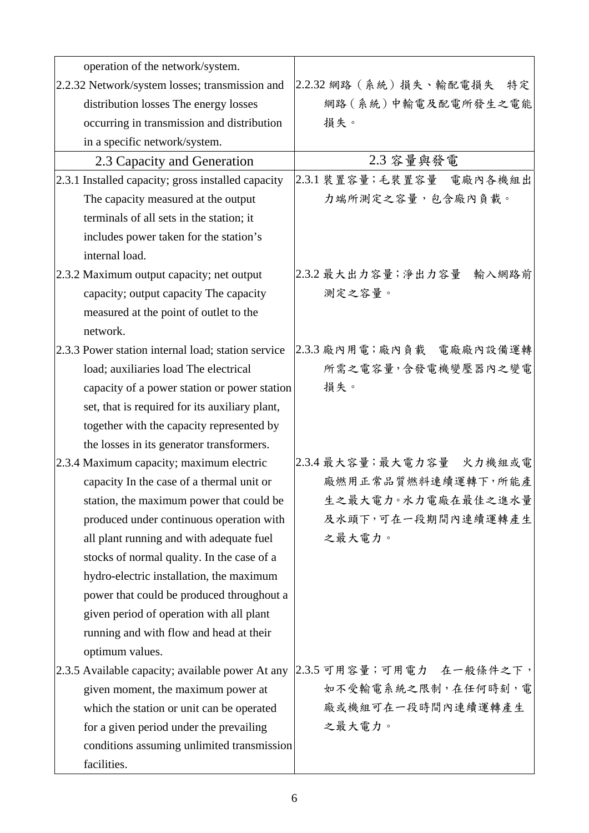| operation of the network/system.                   |                               |
|----------------------------------------------------|-------------------------------|
| 2.2.32 Network/system losses; transmission and     | 2.2.32 網路 (系統) 損失、輸配電損失<br>特定 |
| distribution losses The energy losses              | 網路(系統)中輸電及配電所發生之電能            |
| occurring in transmission and distribution         | 損失。                           |
| in a specific network/system.                      |                               |
| 2.3 Capacity and Generation                        | 2.3 容量與發電                     |
| 2.3.1 Installed capacity; gross installed capacity | 2.3.1 裝置容量;毛裝置容量 電廠內各機組出      |
| The capacity measured at the output                | 力端所測定之容量,包含廠內負載。              |
| terminals of all sets in the station; it           |                               |
| includes power taken for the station's             |                               |
| internal load.                                     |                               |
| 2.3.2 Maximum output capacity; net output          | 2.3.2 最大出力容量; 淨出力容量<br>輸入網路前  |
| capacity; output capacity The capacity             | 測定之容量。                        |
| measured at the point of outlet to the             |                               |
| network.                                           |                               |
| 2.3.3 Power station internal load; station service | 2.3.3 廠內用電;廠內負載 電廠廠內設備運轉      |
| load; auxiliaries load The electrical              | 所需之電容量,含發電機變壓器內之變電            |
| capacity of a power station or power station       | 損失。                           |
| set, that is required for its auxiliary plant,     |                               |
| together with the capacity represented by          |                               |
| the losses in its generator transformers.          |                               |
| 2.3.4 Maximum capacity; maximum electric           | 2.3.4 最大容量;最大電力容量 火力機組或電      |
| capacity In the case of a thermal unit or          | 廠燃用正常品質燃料連續運轉下,所能產            |
| station, the maximum power that could be           | 生之最大電力。水力電廠在最佳之進水量            |
| produced under continuous operation with           | 及水頭下,可在一段期間內連續運轉產生            |
| all plant running and with adequate fuel           | 之最大電力。                        |
| stocks of normal quality. In the case of a         |                               |
| hydro-electric installation, the maximum           |                               |
| power that could be produced throughout a          |                               |
| given period of operation with all plant           |                               |
| running and with flow and head at their            |                               |
| optimum values.                                    |                               |
| 2.3.5 Available capacity; available power At any   | 2.3.5 可用容量;可用電力 在一般條件之下,      |
| given moment, the maximum power at                 | 如不受輸電系統之限制,在任何時刻,電            |
| which the station or unit can be operated          | 廠或機組可在一段時間內連續運轉產生             |
| for a given period under the prevailing            | 之最大電力。                        |
| conditions assuming unlimited transmission         |                               |
| facilities.                                        |                               |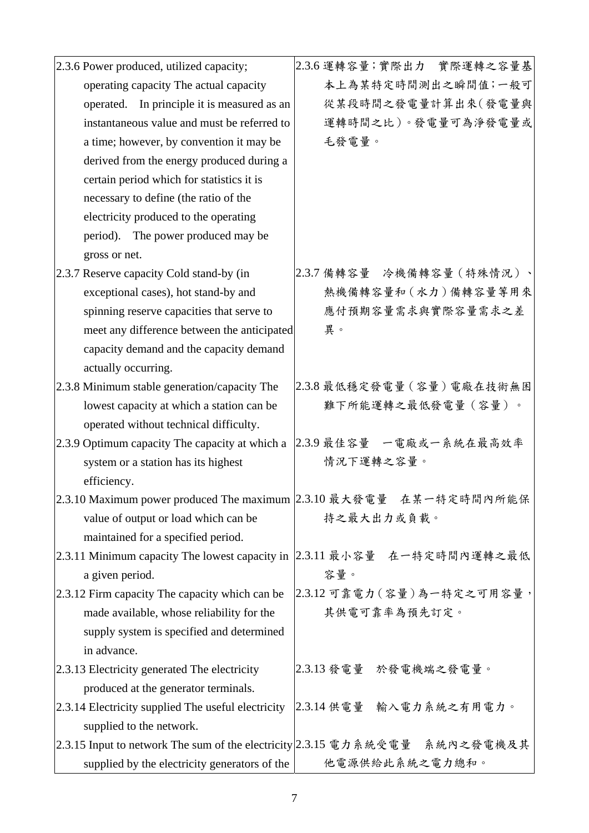| 2.3.6 Power produced, utilized capacity;           | 2.3.6 運轉容量;實際出力 實際運轉之容量基                                                    |
|----------------------------------------------------|-----------------------------------------------------------------------------|
| operating capacity The actual capacity             | 本上為某特定時間測出之瞬間值;一般可                                                          |
| operated. In principle it is measured as an        | 從某段時間之發電量計算出來(發電量與                                                          |
| instantaneous value and must be referred to        | 運轉時間之比)。發電量可為淨發電量或                                                          |
| a time; however, by convention it may be           | 毛發電量。                                                                       |
| derived from the energy produced during a          |                                                                             |
| certain period which for statistics it is          |                                                                             |
| necessary to define (the ratio of the              |                                                                             |
| electricity produced to the operating              |                                                                             |
| period). The power produced may be                 |                                                                             |
| gross or net.                                      |                                                                             |
| 2.3.7 Reserve capacity Cold stand-by (in           | 2.3.7 備轉容量 冷機備轉容量 (特殊情況)、                                                   |
| exceptional cases), hot stand-by and               | 熱機備轉容量和 (水力)備轉容量等用來                                                         |
| spinning reserve capacities that serve to          | 應付預期容量需求與實際容量需求之差                                                           |
| meet any difference between the anticipated        | 異。                                                                          |
| capacity demand and the capacity demand            |                                                                             |
| actually occurring.                                |                                                                             |
| 2.3.8 Minimum stable generation/capacity The       | 2.3.8 最低穩定發電量 (容量)電廠在技術無困                                                   |
| lowest capacity at which a station can be          | 難下所能運轉之最低發電量(容量)。                                                           |
| operated without technical difficulty.             |                                                                             |
| 2.3.9 Optimum capacity The capacity at which a     | 2.3.9 最佳容量 一電廠或一系統在最高效率                                                     |
| system or a station has its highest                | 情況下運轉之容量。                                                                   |
| efficiency.                                        |                                                                             |
|                                                    | 2.3.10 Maximum power produced The maximum  2.3.10 最大發電量 在某一特定時間內所能保         |
| value of output or load which can be               | 持之最大出力或負載。                                                                  |
| maintained for a specified period.                 |                                                                             |
|                                                    | 2.3.11 Minimum capacity The lowest capacity in 2.3.11 最小容量 在一特定時間內運轉之最低     |
| a given period.                                    | 容量。                                                                         |
| 2.3.12 Firm capacity The capacity which can be     | 2.3.12 可靠電力 (容量)為一特定之可用容量,                                                  |
| made available, whose reliability for the          | 其供電可靠率為預先訂定。                                                                |
| supply system is specified and determined          |                                                                             |
| in advance.                                        |                                                                             |
| 2.3.13 Electricity generated The electricity       | 2.3.13 發電量 於發電機端之發電量。                                                       |
| produced at the generator terminals.               |                                                                             |
| 2.3.14 Electricity supplied The useful electricity | 2.3.14 供電量 輸入電力系統之有用電力。                                                     |
| supplied to the network.                           |                                                                             |
|                                                    | 2.3.15 Input to network The sum of the electricity 2.3.15 電力系統受電量 系統內之發電機及其 |
| supplied by the electricity generators of the      | 他電源供給此系統之電力總和。                                                              |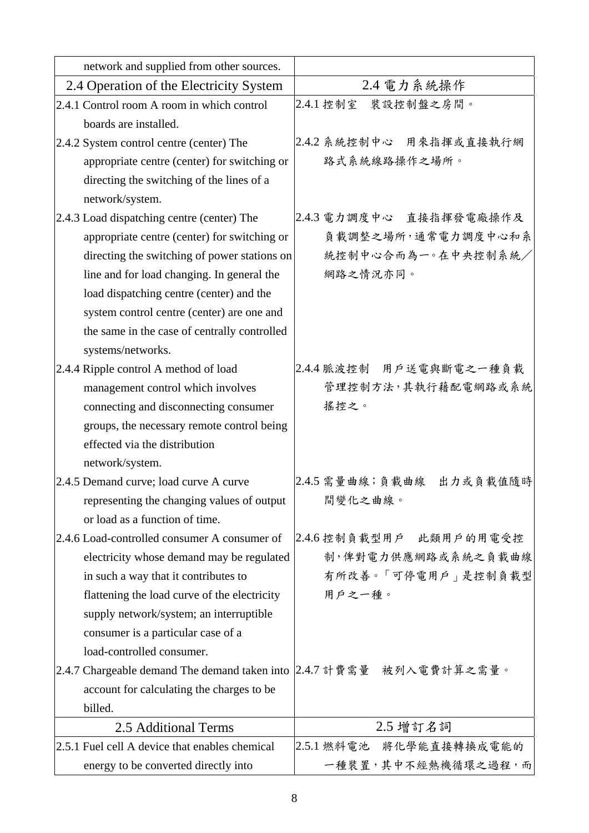| network and supplied from other sources.                              |                          |
|-----------------------------------------------------------------------|--------------------------|
| 2.4 Operation of the Electricity System                               | 2.4 電力系統操作               |
| 2.4.1 Control room A room in which control                            | 2.4.1 控制室 裝設控制盤之房間。      |
| boards are installed.                                                 |                          |
| 2.4.2 System control centre (center) The                              | 2.4.2 系統控制中心 用來指揮或直接執行網  |
| appropriate centre (center) for switching or                          | 路式系統線路操作之場所。             |
| directing the switching of the lines of a                             |                          |
| network/system.                                                       |                          |
| 2.4.3 Load dispatching centre (center) The                            | 2.4.3 電力調度中心 直接指揮發電廠操作及  |
| appropriate centre (center) for switching or                          | 負載調整之場所,通常電力調度中心和系       |
| directing the switching of power stations on                          | 統控制中心合而為一。在中央控制系統/       |
| line and for load changing. In general the                            | 網路之情況亦同。                 |
| load dispatching centre (center) and the                              |                          |
| system control centre (center) are one and                            |                          |
| the same in the case of centrally controlled                          |                          |
| systems/networks.                                                     |                          |
| 2.4.4 Ripple control A method of load                                 | 2.4.4 脈波控制 用户送電與斷電之一種負載  |
| management control which involves                                     | 管理控制方法,其執行藉配電網路或系統       |
| connecting and disconnecting consumer                                 | 搖控之。                     |
| groups, the necessary remote control being                            |                          |
| effected via the distribution                                         |                          |
| network/system.                                                       |                          |
| 2.4.5 Demand curve; load curve A curve                                | 2.4.5 需量曲線;負載曲線 出力或負載值隨時 |
| representing the changing values of output                            | 間變化之曲線。                  |
| or load as a function of time.                                        |                          |
| 2.4.6 Load-controlled consumer A consumer of                          | 2.4.6 控制負載型用戶 此類用戶的用電受控  |
| electricity whose demand may be regulated                             | 制,俾對電力供應網路或系統之負載曲線       |
| in such a way that it contributes to                                  | 有所改善。「可停電用戶」是控制負載型       |
| flattening the load curve of the electricity                          | 用戶之一種。                   |
| supply network/system; an interruptible                               |                          |
| consumer is a particular case of a                                    |                          |
| load-controlled consumer.                                             |                          |
| 2.4.7 Chargeable demand The demand taken into  2.4.7 計費需量 被列入電費計算之需量。 |                          |
| account for calculating the charges to be                             |                          |
| billed.                                                               |                          |
| 2.5 Additional Terms                                                  | 2.5 增訂名詞                 |
| 2.5.1 Fuel cell A device that enables chemical                        | 2.5.1 燃料電池 將化學能直接轉換成電能的  |
| energy to be converted directly into                                  | 一種裝置,其中不經熱機循環之過程,而       |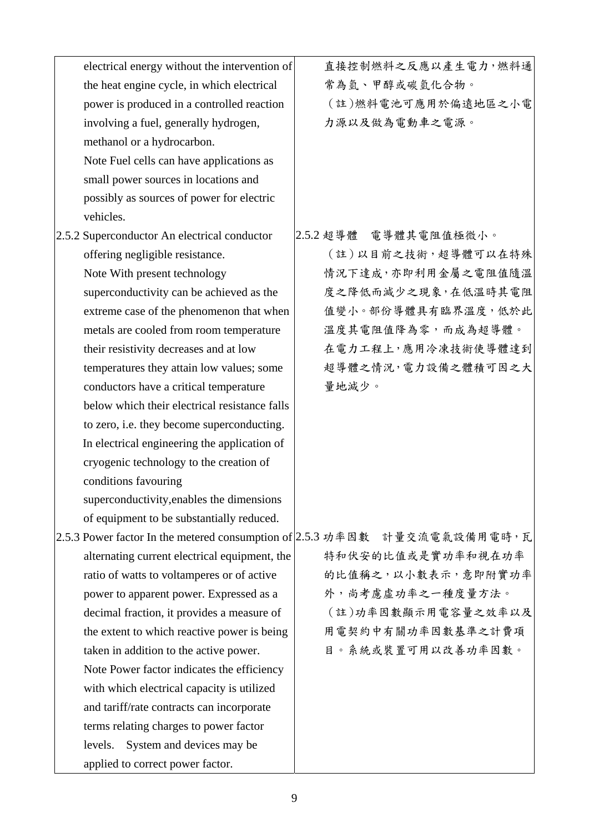| electrical energy without the intervention of | 直接控制燃料之反應以產生電力,燃料通                                                         |
|-----------------------------------------------|----------------------------------------------------------------------------|
| the heat engine cycle, in which electrical    | 常為氫、甲醇或碳氫化合物。                                                              |
| power is produced in a controlled reaction    | (註)燃料電池可應用於偏遠地區之小電                                                         |
| involving a fuel, generally hydrogen,         | 力源以及做為電動車之電源。                                                              |
| methanol or a hydrocarbon.                    |                                                                            |
| Note Fuel cells can have applications as      |                                                                            |
| small power sources in locations and          |                                                                            |
| possibly as sources of power for electric     |                                                                            |
| vehicles.                                     |                                                                            |
| 2.5.2 Superconductor An electrical conductor  | 2.5.2 超導體 電導體其電阻值極微小。                                                      |
| offering negligible resistance.               | (註)以目前之技術,超導體可以在特殊                                                         |
| Note With present technology                  | 情況下達成,亦即利用金屬之電阻值隨溫                                                         |
| superconductivity can be achieved as the      | 度之降低而減少之現象,在低溫時其電阻                                                         |
| extreme case of the phenomenon that when      | 值變小。部份導體具有臨界溫度,低於此                                                         |
| metals are cooled from room temperature       | 溫度其電阻值降為零,而成為超導體。                                                          |
| their resistivity decreases and at low        | 在電力工程上,應用冷凍技術使導體達到                                                         |
| temperatures they attain low values; some     | 超導體之情況,電力設備之體積可因之大                                                         |
| conductors have a critical temperature        | 量地減少。                                                                      |
| below which their electrical resistance falls |                                                                            |
| to zero, i.e. they become superconducting.    |                                                                            |
| In electrical engineering the application of  |                                                                            |
| cryogenic technology to the creation of       |                                                                            |
| conditions favouring                          |                                                                            |
| superconductivity, enables the dimensions     |                                                                            |
| of equipment to be substantially reduced.     |                                                                            |
|                                               | 2.5.3 Power factor In the metered consumption of 2.5.3 功率因數 計量交流電氣設備用電時, 瓦 |
| alternating current electrical equipment, the | 特和伏安的比值或是實功率和視在功率                                                          |
| ratio of watts to voltamperes or of active    | 的比值稱之,以小數表示,意即附實功率                                                         |
| power to apparent power. Expressed as a       | 外,尚考慮虛功率之一種度量方法。                                                           |
| decimal fraction, it provides a measure of    | (註)功率因數顯示用電容量之效率以及                                                         |
| the extent to which reactive power is being   | 用電契約中有關功率因數基準之計費項                                                          |
| taken in addition to the active power.        | 目。系統或裝置可用以改善功率因數。                                                          |
| Note Power factor indicates the efficiency    |                                                                            |
| with which electrical capacity is utilized    |                                                                            |
| and tariff/rate contracts can incorporate     |                                                                            |
| terms relating charges to power factor        |                                                                            |
| levels.<br>System and devices may be          |                                                                            |
| applied to correct power factor.              |                                                                            |